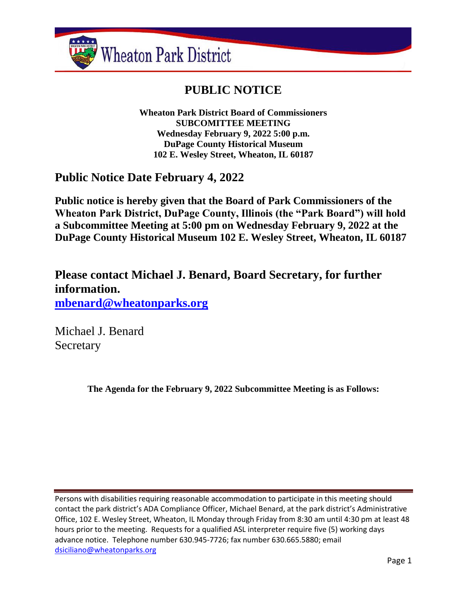

# **PUBLIC NOTICE**

**Wheaton Park District Board of Commissioners SUBCOMITTEE MEETING Wednesday February 9, 2022 5:00 p.m. DuPage County Historical Museum 102 E. Wesley Street, Wheaton, IL 60187**

**Public Notice Date February 4, 2022**

**Public notice is hereby given that the Board of Park Commissioners of the Wheaton Park District, DuPage County, Illinois (the "Park Board") will hold a Subcommittee Meeting at 5:00 pm on Wednesday February 9, 2022 at the DuPage County Historical Museum 102 E. Wesley Street, Wheaton, IL 60187**

**Please contact Michael J. Benard, Board Secretary, for further information. [mbenard@wheatonparks.org](mailto:mbenard@wheatonparks.org)**

Michael J. Benard Secretary

**The Agenda for the February 9, 2022 Subcommittee Meeting is as Follows:**

Persons with disabilities requiring reasonable accommodation to participate in this meeting should contact the park district's ADA Compliance Officer, Michael Benard, at the park district's Administrative Office, 102 E. Wesley Street, Wheaton, IL Monday through Friday from 8:30 am until 4:30 pm at least 48 hours prior to the meeting. Requests for a qualified ASL interpreter require five (5) working days advance notice. Telephone number 630.945-7726; fax number 630.665.5880; email [dsiciliano@wheatonparks.org](mailto:dsiciliano@wheatonparks.org)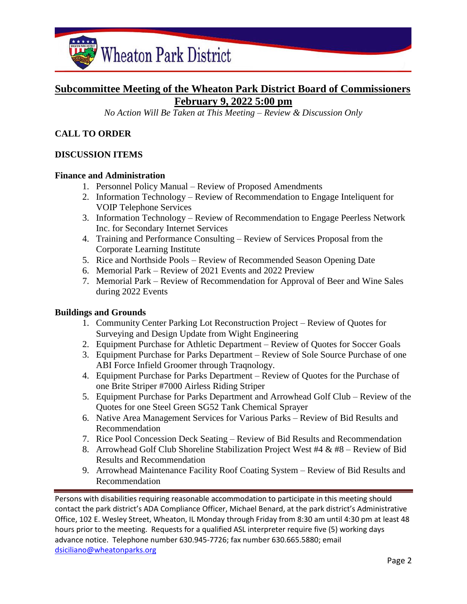

# **Subcommittee Meeting of the Wheaton Park District Board of Commissioners February 9, 2022 5:00 pm**

*No Action Will Be Taken at This Meeting – Review & Discussion Only*

# **CALL TO ORDER**

## **DISCUSSION ITEMS**

#### **Finance and Administration**

- 1. Personnel Policy Manual Review of Proposed Amendments
- 2. Information Technology Review of Recommendation to Engage Inteliquent for VOIP Telephone Services
- 3. Information Technology Review of Recommendation to Engage Peerless Network Inc. for Secondary Internet Services
- 4. Training and Performance Consulting Review of Services Proposal from the Corporate Learning Institute
- 5. Rice and Northside Pools Review of Recommended Season Opening Date
- 6. Memorial Park Review of 2021 Events and 2022 Preview
- 7. Memorial Park Review of Recommendation for Approval of Beer and Wine Sales during 2022 Events

#### **Buildings and Grounds**

- 1. Community Center Parking Lot Reconstruction Project Review of Quotes for Surveying and Design Update from Wight Engineering
- 2. Equipment Purchase for Athletic Department Review of Quotes for Soccer Goals
- 3. Equipment Purchase for Parks Department Review of Sole Source Purchase of one ABI Force Infield Groomer through Traqnology.
- 4. Equipment Purchase for Parks Department Review of Quotes for the Purchase of one Brite Striper #7000 Airless Riding Striper
- 5. Equipment Purchase for Parks Department and Arrowhead Golf Club Review of the Quotes for one Steel Green SG52 Tank Chemical Sprayer
- 6. Native Area Management Services for Various Parks Review of Bid Results and Recommendation
- 7. Rice Pool Concession Deck Seating Review of Bid Results and Recommendation
- 8. Arrowhead Golf Club Shoreline Stabilization Project West #4 & #8 Review of Bid Results and Recommendation
- 9. Arrowhead Maintenance Facility Roof Coating System Review of Bid Results and Recommendation

Persons with disabilities requiring reasonable accommodation to participate in this meeting should contact the park district's ADA Compliance Officer, Michael Benard, at the park district's Administrative Office, 102 E. Wesley Street, Wheaton, IL Monday through Friday from 8:30 am until 4:30 pm at least 48 hours prior to the meeting. Requests for a qualified ASL interpreter require five (5) working days advance notice. Telephone number 630.945-7726; fax number 630.665.5880; email [dsiciliano@wheatonparks.org](mailto:dsiciliano@wheatonparks.org)